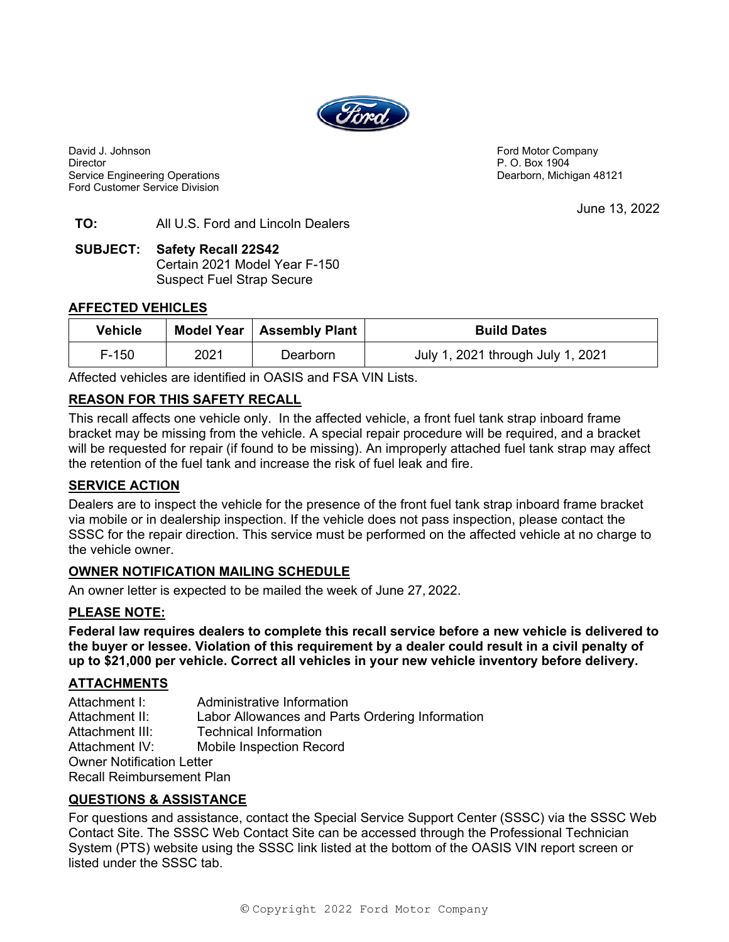

David J. Johnson **Ford Motor Company David J. Johnson** Ford Motor Company Director **P. O. Box 1904** Service Engineering Operations **Dearborn, Michigan 48121** Ford Customer Service Division

June 13, 2022

## **TO:** All U.S. Ford and Lincoln Dealers

#### **SUBJECT: Safety Recall 22S42**  Certain 2021 Model Year F-150 Suspect Fuel Strap Secure

### **AFFECTED VEHICLES**

| <b>Vehicle</b> |      | Model Year   Assembly Plant | <b>Build Dates</b>                |  |
|----------------|------|-----------------------------|-----------------------------------|--|
| $F-150$        | 2021 | Dearborn                    | July 1, 2021 through July 1, 2021 |  |

Affected vehicles are identified in OASIS and FSA VIN Lists.

# **REASON FOR THIS SAFETY RECALL**

This recall affects one vehicle only. In the affected vehicle, a front fuel tank strap inboard frame bracket may be missing from the vehicle. A special repair procedure will be required, and a bracket will be requested for repair (if found to be missing). An improperly attached fuel tank strap may affect the retention of the fuel tank and increase the risk of fuel leak and fire.

### **SERVICE ACTION**

Dealers are to inspect the vehicle for the presence of the front fuel tank strap inboard frame bracket via mobile or in dealership inspection. If the vehicle does not pass inspection, please contact the SSSC for the repair direction. This service must be performed on the affected vehicle at no charge to the vehicle owner.

### **OWNER NOTIFICATION MAILING SCHEDULE**

An owner letter is expected to be mailed the week of June 27, 2022.

### **PLEASE NOTE:**

**Federal law requires dealers to complete this recall service before a new vehicle is delivered to the buyer or lessee. Violation of this requirement by a dealer could result in a civil penalty of up to \$21,000 per vehicle. Correct all vehicles in your new vehicle inventory before delivery.** 

### **ATTACHMENTS**

Attachment I: Administrative Information Attachment II: Labor Allowances and Parts Ordering Information Attachment III: Technical Information Attachment IV: Mobile Inspection Record Owner Notification Letter Recall Reimbursement Plan

### **QUESTIONS & ASSISTANCE**

For questions and assistance, contact the Special Service Support Center (SSSC) via the SSSC Web Contact Site. The SSSC Web Contact Site can be accessed through the Professional Technician System (PTS) website using the SSSC link listed at the bottom of the OASIS VIN report screen or listed under the SSSC tab.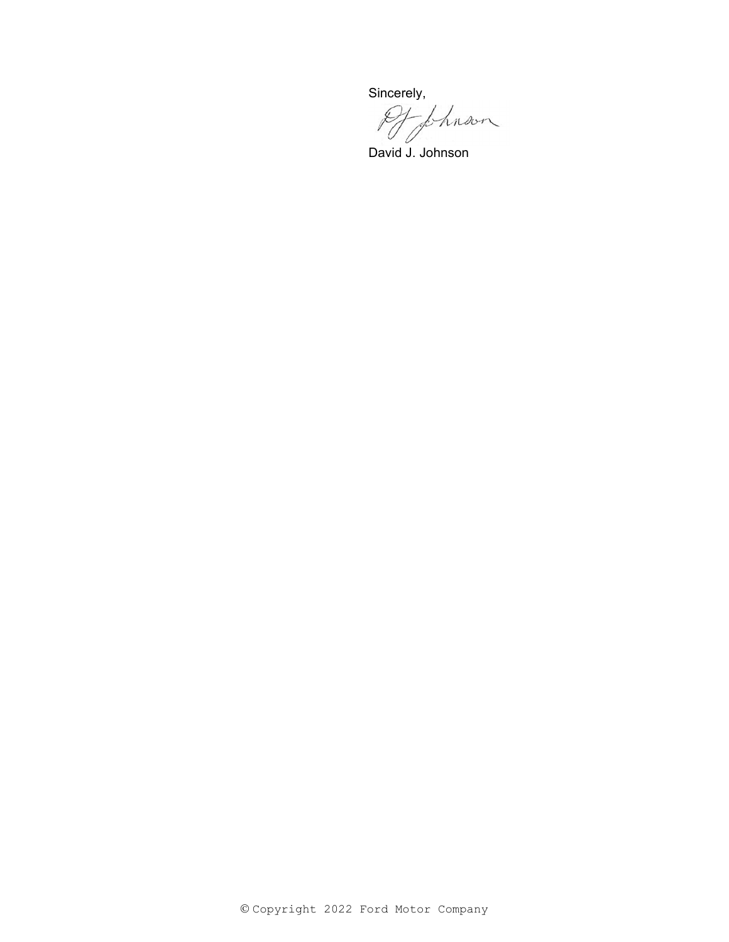Sincerely,<br>Of fhnoon

David J. Johnson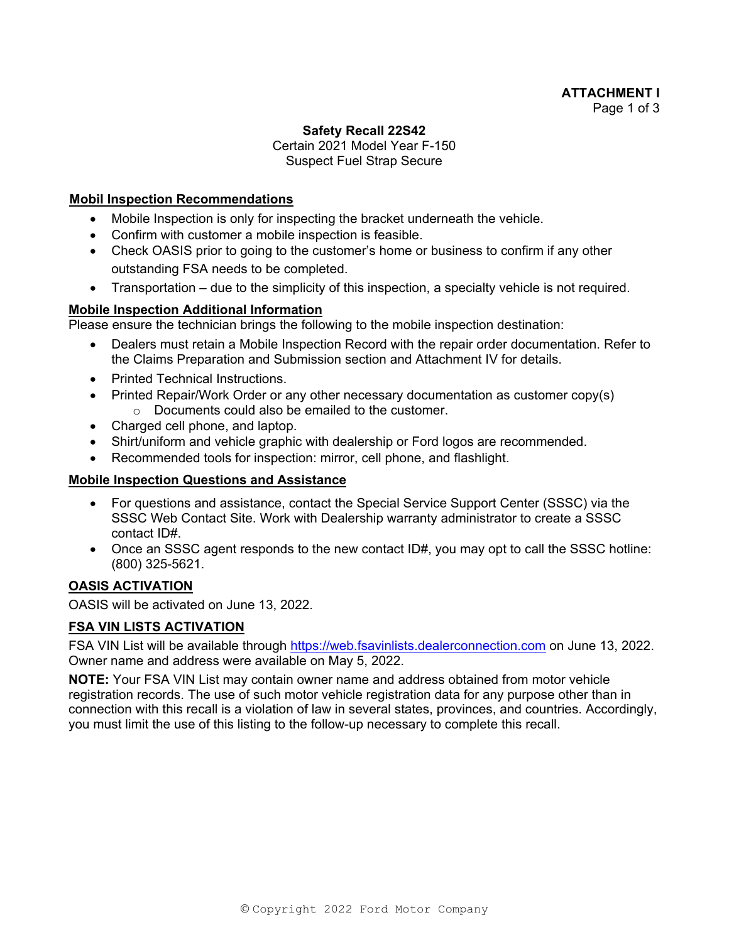## **ATTACHMENT I**  Page 1 of 3

#### **Safety Recall 22S42**

# Certain 2021 Model Year F-150 Suspect Fuel Strap Secure

#### **Mobil Inspection Recommendations**

- Mobile Inspection is only for inspecting the bracket underneath the vehicle.
- Confirm with customer a mobile inspection is feasible.
- Check OASIS prior to going to the customer's home or business to confirm if any other outstanding FSA needs to be completed.
- Transportation due to the simplicity of this inspection, a specialty vehicle is not required.

### **Mobile Inspection Additional Information**

Please ensure the technician brings the following to the mobile inspection destination:

- Dealers must retain a Mobile Inspection Record with the repair order documentation. Refer to the Claims Preparation and Submission section and Attachment IV for details.
- Printed Technical Instructions.
- Printed Repair/Work Order or any other necessary documentation as customer copy(s) o Documents could also be emailed to the customer.
- Charged cell phone, and laptop.
- Shirt/uniform and vehicle graphic with dealership or Ford logos are recommended.
- Recommended tools for inspection: mirror, cell phone, and flashlight.

### **Mobile Inspection Questions and Assistance**

- For questions and assistance, contact the Special Service Support Center (SSSC) via the SSSC Web Contact Site. Work with Dealership warranty administrator to create a SSSC contact ID#.
- Once an SSSC agent responds to the new contact ID#, you may opt to call the SSSC hotline: (800) 325-5621.

## **OASIS ACTIVATION**

OASIS will be activated on June 13, 2022.

### **FSA VIN LISTS ACTIVATION**

FSA VIN List will be available through https://web.fsavinlists.dealerconnection.com on June 13, 2022. Owner name and address were available on May 5, 2022.

**NOTE:** Your FSA VIN List may contain owner name and address obtained from motor vehicle registration records. The use of such motor vehicle registration data for any purpose other than in connection with this recall is a violation of law in several states, provinces, and countries. Accordingly, you must limit the use of this listing to the follow-up necessary to complete this recall.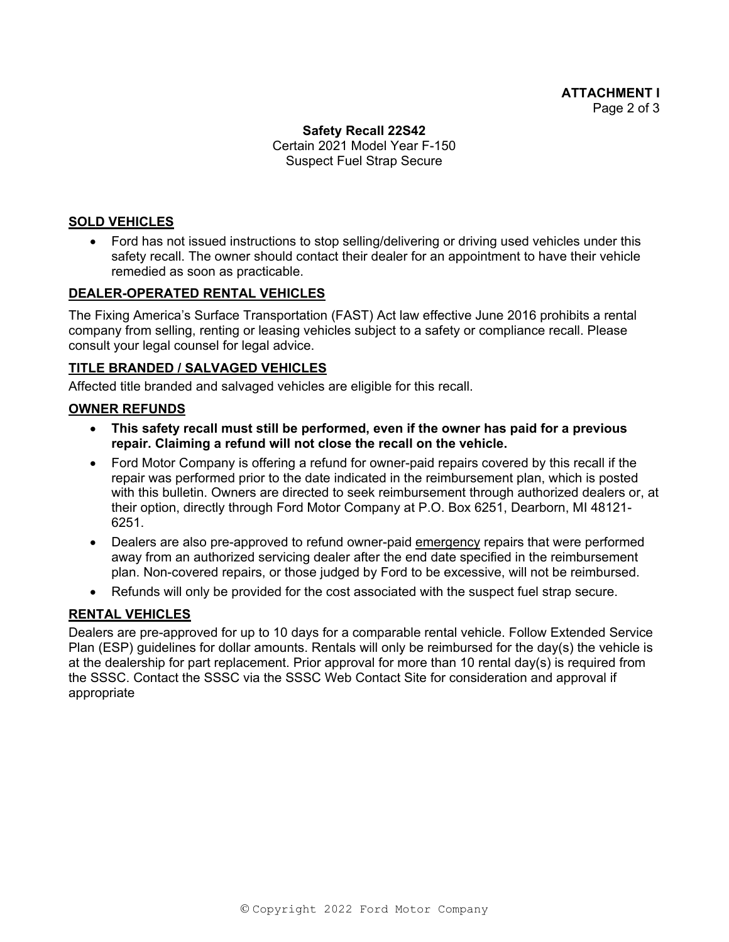## **Safety Recall 22S42**  Certain 2021 Model Year F-150 Suspect Fuel Strap Secure

# **SOLD VEHICLES**

 Ford has not issued instructions to stop selling/delivering or driving used vehicles under this safety recall. The owner should contact their dealer for an appointment to have their vehicle remedied as soon as practicable.

### **DEALER-OPERATED RENTAL VEHICLES**

The Fixing America's Surface Transportation (FAST) Act law effective June 2016 prohibits a rental company from selling, renting or leasing vehicles subject to a safety or compliance recall. Please consult your legal counsel for legal advice.

### **TITLE BRANDED / SALVAGED VEHICLES**

Affected title branded and salvaged vehicles are eligible for this recall.

### **OWNER REFUNDS**

- **This safety recall must still be performed, even if the owner has paid for a previous repair. Claiming a refund will not close the recall on the vehicle.**
- Ford Motor Company is offering a refund for owner-paid repairs covered by this recall if the repair was performed prior to the date indicated in the reimbursement plan, which is posted with this bulletin. Owners are directed to seek reimbursement through authorized dealers or, at their option, directly through Ford Motor Company at P.O. Box 6251, Dearborn, MI 48121- 6251.
- Dealers are also pre-approved to refund owner-paid emergency repairs that were performed away from an authorized servicing dealer after the end date specified in the reimbursement plan. Non-covered repairs, or those judged by Ford to be excessive, will not be reimbursed.
- Refunds will only be provided for the cost associated with the suspect fuel strap secure.

### **RENTAL VEHICLES**

Dealers are pre-approved for up to 10 days for a comparable rental vehicle. Follow Extended Service Plan (ESP) guidelines for dollar amounts. Rentals will only be reimbursed for the day(s) the vehicle is at the dealership for part replacement. Prior approval for more than 10 rental day(s) is required from the SSSC. Contact the SSSC via the SSSC Web Contact Site for consideration and approval if appropriate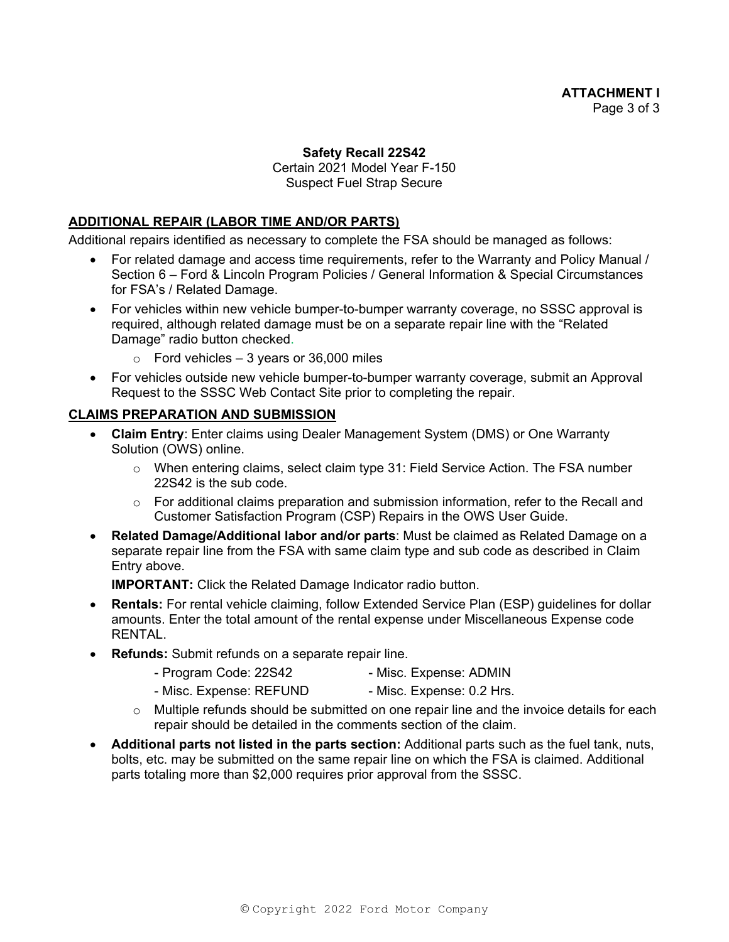## **Safety Recall 22S42**

Certain 2021 Model Year F-150 Suspect Fuel Strap Secure

### **ADDITIONAL REPAIR (LABOR TIME AND/OR PARTS)**

Additional repairs identified as necessary to complete the FSA should be managed as follows:

- For related damage and access time requirements, refer to the Warranty and Policy Manual / Section 6 – Ford & Lincoln Program Policies / General Information & Special Circumstances for FSA's / Related Damage.
- For vehicles within new vehicle bumper-to-bumper warranty coverage, no SSSC approval is required, although related damage must be on a separate repair line with the "Related Damage" radio button checked.
	- $\circ$  Ford vehicles 3 years or 36,000 miles
- For vehicles outside new vehicle bumper-to-bumper warranty coverage, submit an Approval Request to the SSSC Web Contact Site prior to completing the repair.

# **CLAIMS PREPARATION AND SUBMISSION**

- **Claim Entry**: Enter claims using Dealer Management System (DMS) or One Warranty Solution (OWS) online.
	- $\circ$  When entering claims, select claim type 31: Field Service Action. The FSA number 22S42 is the sub code.
	- $\circ$  For additional claims preparation and submission information, refer to the Recall and Customer Satisfaction Program (CSP) Repairs in the OWS User Guide.
- **Related Damage/Additional labor and/or parts**: Must be claimed as Related Damage on a separate repair line from the FSA with same claim type and sub code as described in Claim Entry above.

**IMPORTANT:** Click the Related Damage Indicator radio button.

- **Rentals:** For rental vehicle claiming, follow Extended Service Plan (ESP) guidelines for dollar amounts. Enter the total amount of the rental expense under Miscellaneous Expense code RENTAL.
- **Refunds:** Submit refunds on a separate repair line.
	- Program Code: 22S42 Misc. Expense: ADMIN
	- Misc. Expense: REFUND Misc. Expense: 0.2 Hrs.
	- $\circ$  Multiple refunds should be submitted on one repair line and the invoice details for each repair should be detailed in the comments section of the claim.
- **Additional parts not listed in the parts section:** Additional parts such as the fuel tank, nuts, bolts, etc. may be submitted on the same repair line on which the FSA is claimed. Additional parts totaling more than \$2,000 requires prior approval from the SSSC.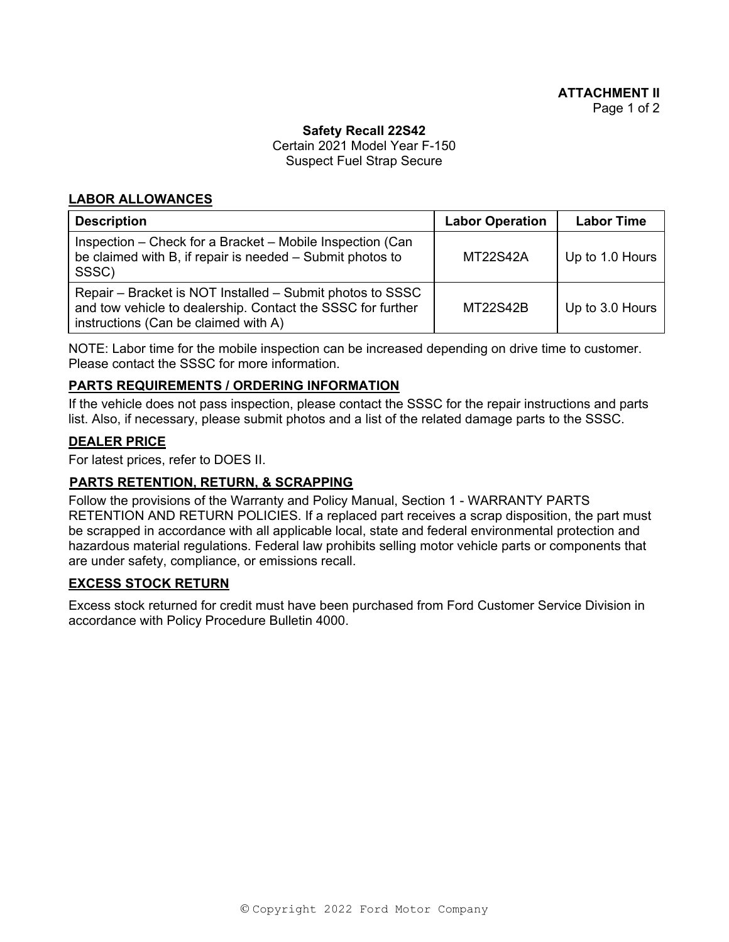#### **Safety Recall 22S42**

Certain 2021 Model Year F-150 Suspect Fuel Strap Secure

### **LABOR ALLOWANCES**

| <b>Description</b>                                                                                                                                               | <b>Labor Operation</b> | <b>Labor Time</b> |
|------------------------------------------------------------------------------------------------------------------------------------------------------------------|------------------------|-------------------|
| Inspection – Check for a Bracket – Mobile Inspection (Can<br>be claimed with B, if repair is needed - Submit photos to<br>SSSC)                                  | <b>MT22S42A</b>        | Up to 1.0 Hours   |
| Repair – Bracket is NOT Installed – Submit photos to SSSC<br>and tow vehicle to dealership. Contact the SSSC for further<br>instructions (Can be claimed with A) | <b>MT22S42B</b>        | Up to 3.0 Hours   |

NOTE: Labor time for the mobile inspection can be increased depending on drive time to customer. Please contact the SSSC for more information.

### **PARTS REQUIREMENTS / ORDERING INFORMATION**

If the vehicle does not pass inspection, please contact the SSSC for the repair instructions and parts list. Also, if necessary, please submit photos and a list of the related damage parts to the SSSC.

### **DEALER PRICE**

For latest prices, refer to DOES II.

### **PARTS RETENTION, RETURN, & SCRAPPING**

Follow the provisions of the Warranty and Policy Manual, Section 1 - WARRANTY PARTS RETENTION AND RETURN POLICIES. If a replaced part receives a scrap disposition, the part must be scrapped in accordance with all applicable local, state and federal environmental protection and hazardous material regulations. Federal law prohibits selling motor vehicle parts or components that are under safety, compliance, or emissions recall.

#### **EXCESS STOCK RETURN**

Excess stock returned for credit must have been purchased from Ford Customer Service Division in accordance with Policy Procedure Bulletin 4000.